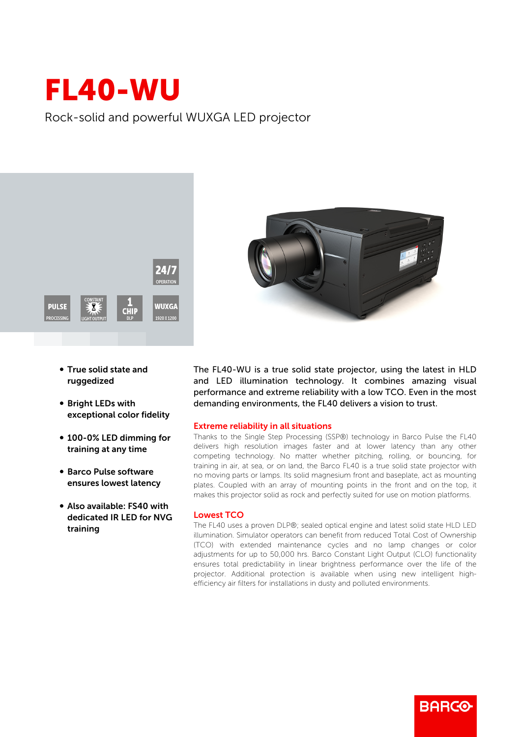## FL40-WU

Rock-solid and powerful WUXGA LED projector



- True solid state and ruggedized
- **Bright LEDs with** exceptional color fidelity
- 100-0% LED dimming for training at any time
- Barco Pulse software ensures lowest latency
- Also available: FS40 with dedicated IR LED for NVG training



The FL40-WU is a true solid state projector, using the latest in HLD and LED illumination technology. It combines amazing visual performance and extreme reliability with a low TCO. Even in the most demanding environments, the FL40 delivers a vision to trust.

## Extreme reliability in all situations

Thanks to the Single Step Processing (SSP®) technology in Barco Pulse the FL40 delivers high resolution images faster and at lower latency than any other competing technology. No matter whether pitching, rolling, or bouncing, for training in air, at sea, or on land, the Barco FL40 is a true solid state projector with no moving parts or lamps. Its solid magnesium front and baseplate, act as mounting plates. Coupled with an array of mounting points in the front and on the top, it makes this projector solid as rock and perfectly suited for use on motion platforms.

## Lowest TCO

The FL40 uses a proven DLP®; sealed optical engine and latest solid state HLD LED illumination. Simulator operators can benefit from reduced Total Cost of Ownership (TCO) with extended maintenance cycles and no lamp changes or color adjustments for up to 50,000 hrs. Barco Constant Light Output (CLO) functionality ensures total predictability in linear brightness performance over the life of the projector. Additional protection is available when using new intelligent highefficiency air filters for installations in dusty and polluted environments.

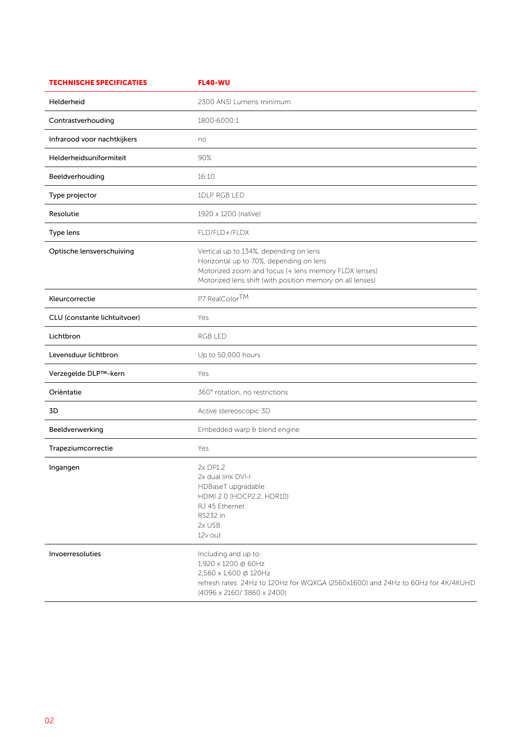| <b>TECHNISCHE SPECIFICATIES</b> | <b>FL40-WU</b>                                                                                                                                                                                         |
|---------------------------------|--------------------------------------------------------------------------------------------------------------------------------------------------------------------------------------------------------|
| Helderheid                      | 2300 ANSI Lumens minimum                                                                                                                                                                               |
| Contrastverhouding              | 1800-6000:1                                                                                                                                                                                            |
| Infrarood voor nachtkijkers     | no                                                                                                                                                                                                     |
| Helderheidsuniformiteit         | 90%                                                                                                                                                                                                    |
| Beeldverhouding                 | 16:10                                                                                                                                                                                                  |
| Type projector                  | 1DLP RGB LED                                                                                                                                                                                           |
| Resolutie                       | 1920 x 1200 (native)                                                                                                                                                                                   |
| Type lens                       | FLD/FLD+/FLDX                                                                                                                                                                                          |
| Optische lensverschuiving       | Vertical up to 134%, depending on lens<br>Horizontal up to 70%, depending on lens<br>Motorized zoom and focus (+ lens memory FLDX lenses)<br>Motorized lens shift (with position memory on all lenses) |
| Kleurcorrectie                  | P7 RealColorTM                                                                                                                                                                                         |
| CLU (constante lichtuitvoer)    | Yes                                                                                                                                                                                                    |
| Lichtbron                       | RGB LED                                                                                                                                                                                                |
| Levensduur lichtbron            | Up to 50,000 hours                                                                                                                                                                                     |
| Verzegelde DLP™-kern            | Yes                                                                                                                                                                                                    |
| Oriëntatie                      | 360° rotation, no restrictions                                                                                                                                                                         |
| 3D                              | Active stereoscopic 3D                                                                                                                                                                                 |
| Beeldverwerking                 | Embedded warp & blend engine                                                                                                                                                                           |
| Trapeziumcorrectie              | Yes                                                                                                                                                                                                    |
| Ingangen                        | 2x DP1.2<br>2x dual link DVI-I<br>HDBaseT upgradable<br>HDMI 2.0 (HDCP2.2, HDR10)<br>RJ 45 Ethernet<br>RS232 in<br>2x USB<br>12v out                                                                   |
| Invoerresoluties                | Including and up to:<br>1,920 x 1200 @ 60Hz<br>2,560 x 1,600 @ 120Hz<br>refresh rates: 24Hz to 120Hz for WQXGA (2560x1600) and 24Hz to 60Hz for 4K/4KUHD<br>(4096 x 2160/3860 x 2400)                  |